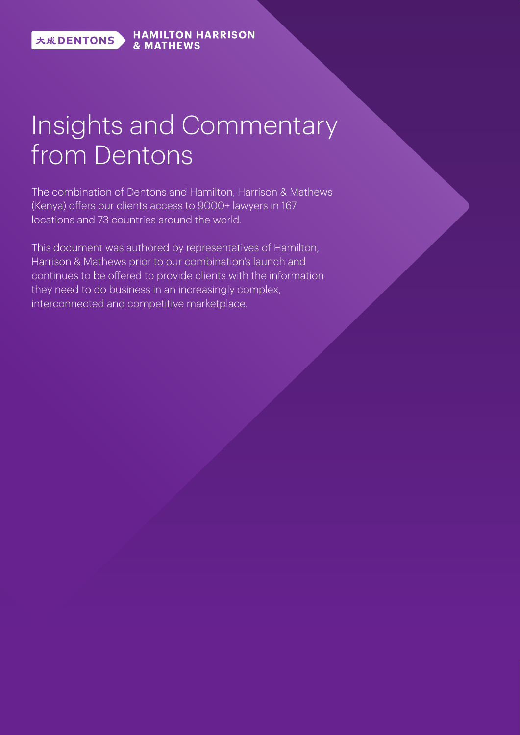大成DENTONS

**HAMILTON HARRISON & MATHFWS** 

## Insights and Commentary from Dentons

The combination of Dentons and Hamilton, Harrison & Mathews  $(Kenya)$  offers our clients access to  $9000+$  lawyers in 167 locations and 73 countries around the world.

This document was authored by representatives of Hamilton, Harrison & Mathews prior to our combination's launch and continues to be offered to provide clients with the information they need to do business in an increasingly complex, interconnected and competitive marketplace.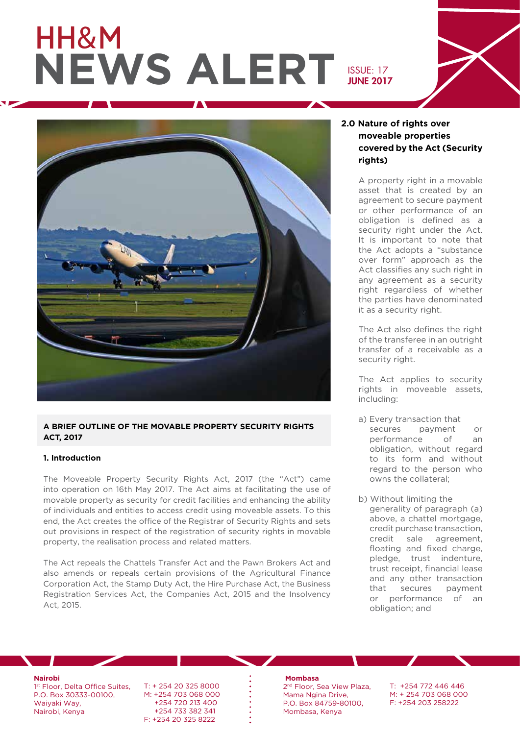# HH&M **NEWS ALERT ISSUE: 17**





#### **A BRIEF OUTLINE OF THE MOVABLE PROPERTY SECURITY RIGHTS ACT, 2017**

#### **1. Introduction**

The Moveable Property Security Rights Act, 2017 (the "Act") came into operation on 16th May 2017. The Act aims at facilitating the use of movable property as security for credit facilities and enhancing the ability of individuals and entities to access credit using moveable assets. To this end, the Act creates the office of the Registrar of Security Rights and sets out provisions in respect of the registration of security rights in movable property, the realisation process and related matters.

The Act repeals the Chattels Transfer Act and the Pawn Brokers Act and also amends or repeals certain provisions of the Agricultural Finance Corporation Act, the Stamp Duty Act, the Hire Purchase Act, the Business Registration Services Act, the Companies Act, 2015 and the Insolvency Act, 2015.

#### **2.0 Nature of rights over moveable properties covered by the Act (Security rights)**

A property right in a movable asset that is created by an agreement to secure payment or other performance of an obligation is defined as a security right under the Act. It is important to note that the Act adopts a "substance over form" approach as the Act classifies any such right in any agreement as a security right regardless of whether the parties have denominated it as a security right.

The Act also defines the right of the transferee in an outright transfer of a receivable as a security right.

The Act applies to security rights in moveable assets, including:

- a) Every transaction that secures payment or performance of an obligation, without regard to its form and without regard to the person who owns the collateral;
- b) Without limiting the generality of paragraph (a) above, a chattel mortgage, credit purchase transaction, credit sale agreement, floating and fixed charge, pledge, trust indenture, trust receipt, financial lease and any other transaction that secures payment or performance of an obligation; and

**Nairobi**

1<sup>st</sup> Floor, Delta Office Suites, P.O. Box 30333-00100, Waiyaki Way, Nairobi, Kenya

T: + 254 20 325 8000 M: +254 703 068 000 +254 720 213 400 +254 733 382 341 F: +254 20 325 8222

#### **Mombasa**

2<sup>nd</sup> Floor, Sea View Plaza, Mama Ngina Drive, P.O. Box 84759-80100, Mombasa, Kenya

T: +254 772 446 446 M: + 254 703 068 000 F: +254 203 258222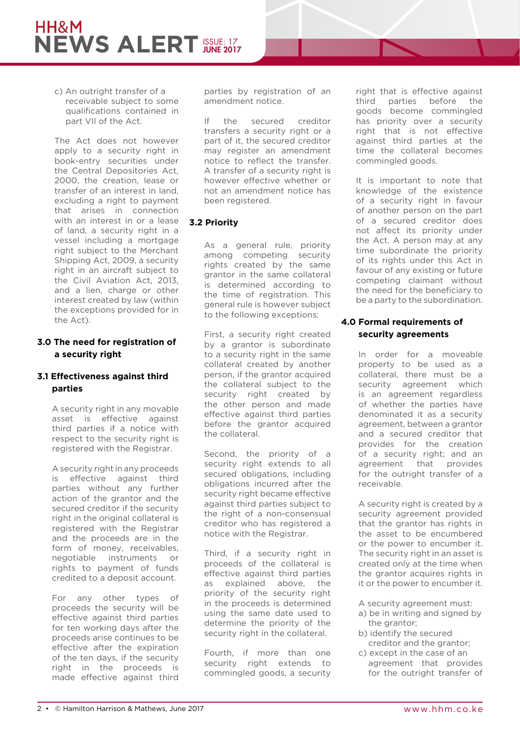c) An outright transfer of a receivable subject to some qualifications contained in part VII of the Act.

The Act does not however apply to a security right in book-entry securities under the Central Depositories Act, 2000, the creation, lease or transfer of an interest in land, excluding a right to payment that arises in connection with an interest in or a lease of land, a security right in a vessel including a mortgage right subject to the Merchant Shipping Act, 2009, a security right in an aircraft subject to the Civil Aviation Act, 2013, and a lien, charge or other interest created by law (within the exceptions provided for in the Act).

#### **3.0 The need for registration of a security right**

#### **3.1 Effectiveness against third parties**

A security right in any movable asset is effective against third parties if a notice with respect to the security right is registered with the Registrar.

A security right in any proceeds is effective against third parties without any further action of the grantor and the secured creditor if the security right in the original collateral is registered with the Registrar and the proceeds are in the form of money, receivables, negotiable instruments or rights to payment of funds credited to a deposit account.

For any other types of proceeds the security will be effective against third parties for ten working days after the proceeds arise continues to be effective after the expiration of the ten days, if the security right in the proceeds is made effective against third parties by registration of an amendment notice.

If the secured creditor transfers a security right or a part of it, the secured creditor may register an amendment notice to reflect the transfer. A transfer of a security right is however effective whether or not an amendment notice has been registered.

#### **3.2 Priority**

As a general rule, priority among competing security rights created by the same grantor in the same collateral is determined according to the time of registration. This general rule is however subject to the following exceptions:

First, a security right created by a grantor is subordinate to a security right in the same collateral created by another person, if the grantor acquired the collateral subject to the security right created by the other person and made effective against third parties before the grantor acquired the collateral.

Second, the priority of a security right extends to all secured obligations, including obligations incurred after the security right became effective against third parties subject to the right of a non-consensual creditor who has registered a notice with the Registrar.

Third, if a security right in proceeds of the collateral is effective against third parties as explained above, the priority of the security right in the proceeds is determined using the same date used to determine the priority of the security right in the collateral.

Fourth, if more than one security right extends to commingled goods, a security

right that is effective against third parties before the goods become commingled has priority over a security right that is not effective against third parties at the time the collateral becomes commingled goods.

It is important to note that knowledge of the existence of a security right in favour of another person on the part of a secured creditor does not affect its priority under the Act. A person may at any time subordinate the priority of its rights under this Act in favour of any existing or future competing claimant without the need for the beneficiary to be a party to the subordination.

#### **4.0 Formal requirements of security agreements**

In order for a moveable property to be used as a collateral, there must be a security agreement which is an agreement regardless of whether the parties have denominated it as a security agreement, between a grantor and a secured creditor that provides for the creation of a security right; and an agreement that provides for the outright transfer of a receivable.

A security right is created by a security agreement provided that the grantor has rights in the asset to be encumbered or the power to encumber it. The security right in an asset is created only at the time when the grantor acquires rights in it or the power to encumber it.

A security agreement must:

- a) be in writing and signed by the grantor;
- b) identify the secured creditor and the grantor;
- c) except in the case of an agreement that provides for the outright transfer of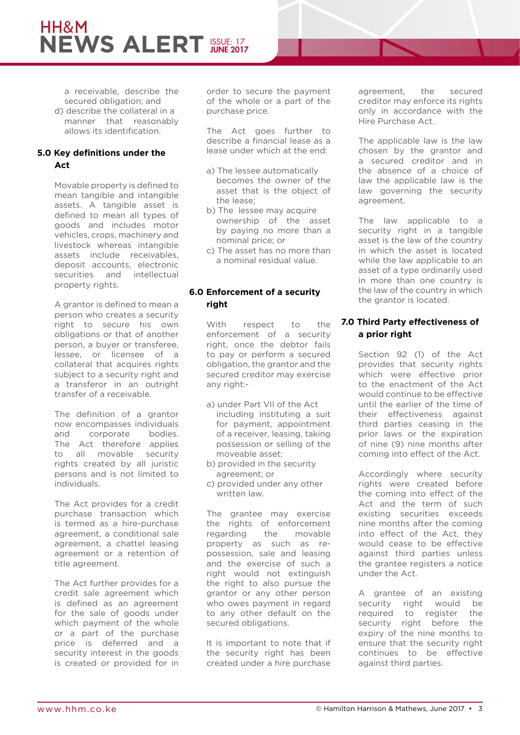## HH&M **NEWS ALERT ISSUE: 17**

a receivable, describe the secured obligation; and d) describe the collateral in a manner that reasonably allows its identification.

#### **5.0 Key definitions under the Act**

Movable property is defined to mean tangible and intangible assets. A tangible asset is defined to mean all types of goods and includes motor vehicles, crops, machinery and livestock whereas intangible assets include receivables, deposit accounts, electronic securities and intellectual property rights.

A grantor is defined to mean a person who creates a security right to secure his own obligations or that of another person, a buyer or transferee, lessee, or licensee of a collateral that acquires rights subject to a security right and a transferor in an outright transfer of a receivable.

The definition of a grantor now encompasses individuals and corporate bodies. The Act therefore applies to all movable security rights created by all juristic persons and is not limited to individuals.

The Act provides for a credit purchase transaction which is termed as a hire-purchase agreement, a conditional sale agreement, a chattel leasing agreement or a retention of title agreement.

The Act further provides for a credit sale agreement which is defined as an agreement for the sale of goods under which payment of the whole or a part of the purchase price is deferred and a security interest in the goods is created or provided for in order to secure the payment of the whole or a part of the purchase price.

The Act goes further to describe a financial lease as a lease under which at the end:

- a) The lessee automatically becomes the owner of the asset that is the object of the lease;
- b) The lessee may acquire ownership of the asset by paying no more than a nominal price; or
- c) The asset has no more than a nominal residual value.

#### **6.0 Enforcement of a security right**

With respect to the enforcement of a security right, once the debtor fails to pay or perform a secured obligation, the grantor and the secured creditor may exercise any right:-

- a) under Part VII of the Act including instituting a suit for payment, appointment of a receiver, leasing, taking possession or selling of the moveable asset;
- b) provided in the security agreement; or
- c) provided under any other written law.

The grantee may exercise the rights of enforcement regarding the movable property as such as repossession, sale and leasing and the exercise of such a right would not extinguish the right to also pursue the grantor or any other person who owes payment in regard to any other default on the secured obligations.

It is important to note that if the security right has been created under a hire purchase

agreement, the secured creditor may enforce its rights only in accordance with the Hire Purchase Act.

The applicable law is the law chosen by the grantor and a secured creditor and in the absence of a choice of law the applicable law is the law governing the security agreement.

The law applicable to a security right in a tangible asset is the law of the country in which the asset is located while the law applicable to an asset of a type ordinarily used in more than one country is the law of the country in which the grantor is located.

#### **7.0 Third Party effectiveness of a prior right**

Section 92 (1) of the Act provides that security rights which were effective prior to the enactment of the Act would continue to be effective until the earlier of the time of their effectiveness against third parties ceasing in the prior laws or the expiration of nine (9) nine months after coming into effect of the Act.

Accordingly where security rights were created before the coming into effect of the Act and the term of such existing securities exceeds nine months after the coming into effect of the Act, they would cease to be effective against third parties unless the grantee registers a notice under the Act.

A grantee of an existing security right would be required to register the security right before the expiry of the nine months to ensure that the security right continues to be effective against third parties.